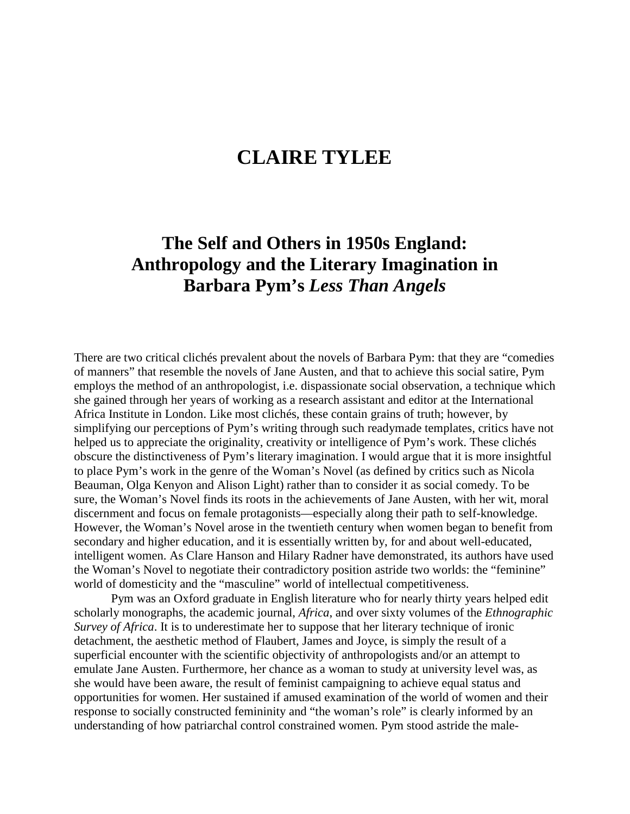## **CLAIRE TYLEE**

## **The Self and Others in 1950s England: Anthropology and the Literary Imagination in Barbara Pym's** *Less Than Angels*

There are two critical clichés prevalent about the novels of Barbara Pym: that they are "comedies of manners" that resemble the novels of Jane Austen, and that to achieve this social satire, Pym employs the method of an anthropologist, i.e. dispassionate social observation, a technique which she gained through her years of working as a research assistant and editor at the International Africa Institute in London. Like most clichés, these contain grains of truth; however, by simplifying our perceptions of Pym's writing through such readymade templates, critics have not helped us to appreciate the originality, creativity or intelligence of Pym's work. These clichés obscure the distinctiveness of Pym's literary imagination. I would argue that it is more insightful to place Pym's work in the genre of the Woman's Novel (as defined by critics such as Nicola Beauman, Olga Kenyon and Alison Light) rather than to consider it as social comedy. To be sure, the Woman's Novel finds its roots in the achievements of Jane Austen, with her wit, moral discernment and focus on female protagonists—especially along their path to self-knowledge. However, the Woman's Novel arose in the twentieth century when women began to benefit from secondary and higher education, and it is essentially written by, for and about well-educated, intelligent women. As Clare Hanson and Hilary Radner have demonstrated, its authors have used the Woman's Novel to negotiate their contradictory position astride two worlds: the "feminine" world of domesticity and the "masculine" world of intellectual competitiveness.

Pym was an Oxford graduate in English literature who for nearly thirty years helped edit scholarly monographs, the academic journal, *Africa*, and over sixty volumes of the *Ethnographic Survey of Africa*. It is to underestimate her to suppose that her literary technique of ironic detachment, the aesthetic method of Flaubert, James and Joyce, is simply the result of a superficial encounter with the scientific objectivity of anthropologists and/or an attempt to emulate Jane Austen. Furthermore, her chance as a woman to study at university level was, as she would have been aware, the result of feminist campaigning to achieve equal status and opportunities for women. Her sustained if amused examination of the world of women and their response to socially constructed femininity and "the woman's role" is clearly informed by an understanding of how patriarchal control constrained women. Pym stood astride the male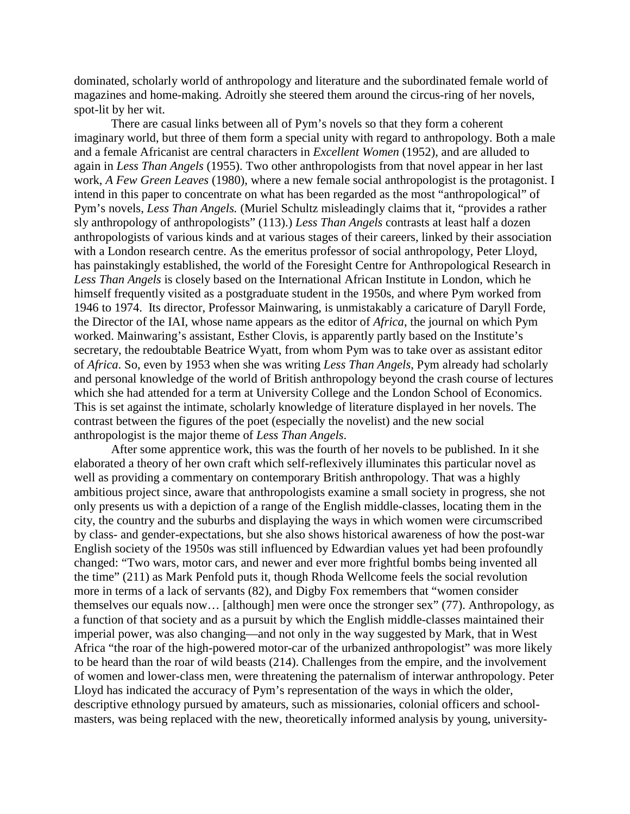dominated, scholarly world of anthropology and literature and the subordinated female world of magazines and home-making. Adroitly she steered them around the circus-ring of her novels, spot-lit by her wit.

There are casual links between all of Pym's novels so that they form a coherent imaginary world, but three of them form a special unity with regard to anthropology. Both a male and a female Africanist are central characters in *Excellent Women* (1952), and are alluded to again in *Less Than Angels* (1955). Two other anthropologists from that novel appear in her last work, *A Few Green Leaves* (1980), where a new female social anthropologist is the protagonist. I intend in this paper to concentrate on what has been regarded as the most "anthropological" of Pym's novels, *Less Than Angels.* (Muriel Schultz misleadingly claims that it, "provides a rather sly anthropology of anthropologists" (113).) *Less Than Angels* contrasts at least half a dozen anthropologists of various kinds and at various stages of their careers, linked by their association with a London research centre. As the emeritus professor of social anthropology, Peter Lloyd, has painstakingly established, the world of the Foresight Centre for Anthropological Research in *Less Than Angels* is closely based on the International African Institute in London, which he himself frequently visited as a postgraduate student in the 1950s, and where Pym worked from 1946 to 1974. Its director, Professor Mainwaring, is unmistakably a caricature of Daryll Forde, the Director of the IAI, whose name appears as the editor of *Africa*, the journal on which Pym worked. Mainwaring's assistant, Esther Clovis, is apparently partly based on the Institute's secretary, the redoubtable Beatrice Wyatt, from whom Pym was to take over as assistant editor of *Africa*. So, even by 1953 when she was writing *Less Than Angels*, Pym already had scholarly and personal knowledge of the world of British anthropology beyond the crash course of lectures which she had attended for a term at University College and the London School of Economics. This is set against the intimate, scholarly knowledge of literature displayed in her novels. The contrast between the figures of the poet (especially the novelist) and the new social anthropologist is the major theme of *Less Than Angels*.

After some apprentice work, this was the fourth of her novels to be published. In it she elaborated a theory of her own craft which self-reflexively illuminates this particular novel as well as providing a commentary on contemporary British anthropology. That was a highly ambitious project since, aware that anthropologists examine a small society in progress, she not only presents us with a depiction of a range of the English middle-classes, locating them in the city, the country and the suburbs and displaying the ways in which women were circumscribed by class- and gender-expectations, but she also shows historical awareness of how the post-war English society of the 1950s was still influenced by Edwardian values yet had been profoundly changed: "Two wars, motor cars, and newer and ever more frightful bombs being invented all the time" (211) as Mark Penfold puts it, though Rhoda Wellcome feels the social revolution more in terms of a lack of servants (82), and Digby Fox remembers that "women consider themselves our equals now… [although] men were once the stronger sex" (77). Anthropology, as a function of that society and as a pursuit by which the English middle-classes maintained their imperial power, was also changing—and not only in the way suggested by Mark, that in West Africa "the roar of the high-powered motor-car of the urbanized anthropologist" was more likely to be heard than the roar of wild beasts (214). Challenges from the empire, and the involvement of women and lower-class men, were threatening the paternalism of interwar anthropology. Peter Lloyd has indicated the accuracy of Pym's representation of the ways in which the older, descriptive ethnology pursued by amateurs, such as missionaries, colonial officers and schoolmasters, was being replaced with the new, theoretically informed analysis by young, university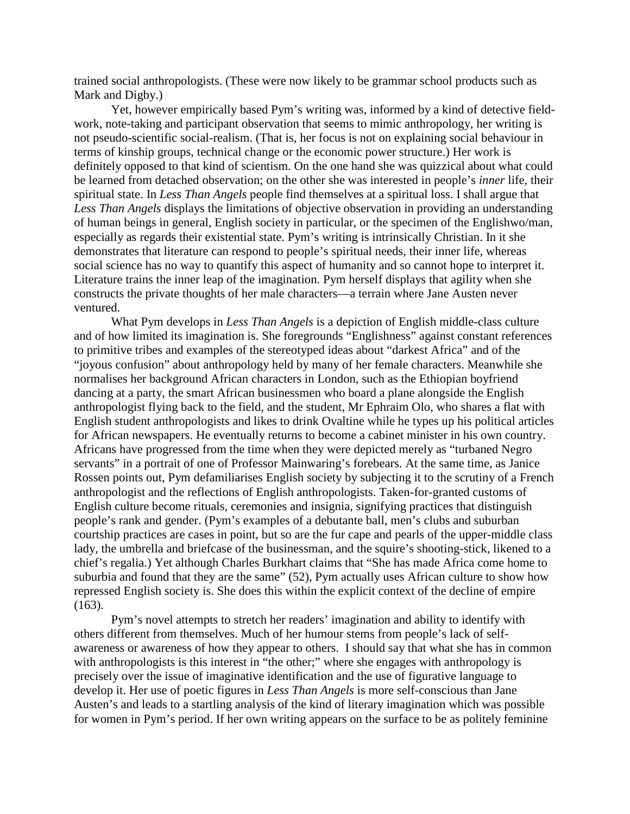trained social anthropologists. (These were now likely to be grammar school products such as Mark and Digby.)

Yet, however empirically based Pym's writing was, informed by a kind of detective fieldwork, note-taking and participant observation that seems to mimic anthropology, her writing is not pseudo-scientific social-realism. (That is, her focus is not on explaining social behaviour in terms of kinship groups, technical change or the economic power structure.) Her work is definitely opposed to that kind of scientism. On the one hand she was quizzical about what could be learned from detached observation; on the other she was interested in people's *inner* life, their spiritual state. In *Less Than Angels* people find themselves at a spiritual loss. I shall argue that *Less Than Angels* displays the limitations of objective observation in providing an understanding of human beings in general, English society in particular, or the specimen of the Englishwo/man, especially as regards their existential state. Pym's writing is intrinsically Christian. In it she demonstrates that literature can respond to people's spiritual needs, their inner life, whereas social science has no way to quantify this aspect of humanity and so cannot hope to interpret it. Literature trains the inner leap of the imagination. Pym herself displays that agility when she constructs the private thoughts of her male characters—a terrain where Jane Austen never ventured.

What Pym develops in *Less Than Angels* is a depiction of English middle-class culture and of how limited its imagination is. She foregrounds "Englishness" against constant references to primitive tribes and examples of the stereotyped ideas about "darkest Africa" and of the "joyous confusion" about anthropology held by many of her female characters. Meanwhile she normalises her background African characters in London, such as the Ethiopian boyfriend dancing at a party, the smart African businessmen who board a plane alongside the English anthropologist flying back to the field, and the student, Mr Ephraim Olo, who shares a flat with English student anthropologists and likes to drink Ovaltine while he types up his political articles for African newspapers. He eventually returns to become a cabinet minister in his own country. Africans have progressed from the time when they were depicted merely as "turbaned Negro servants" in a portrait of one of Professor Mainwaring's forebears. At the same time, as Janice Rossen points out, Pym defamiliarises English society by subjecting it to the scrutiny of a French anthropologist and the reflections of English anthropologists. Taken-for-granted customs of English culture become rituals, ceremonies and insignia, signifying practices that distinguish people's rank and gender. (Pym's examples of a debutante ball, men's clubs and suburban courtship practices are cases in point, but so are the fur cape and pearls of the upper-middle class lady, the umbrella and briefcase of the businessman, and the squire's shooting-stick, likened to a chief's regalia.) Yet although Charles Burkhart claims that "She has made Africa come home to suburbia and found that they are the same" (52), Pym actually uses African culture to show how repressed English society is. She does this within the explicit context of the decline of empire (163).

Pym's novel attempts to stretch her readers' imagination and ability to identify with others different from themselves. Much of her humour stems from people's lack of selfawareness or awareness of how they appear to others. I should say that what she has in common with anthropologists is this interest in "the other;" where she engages with anthropology is precisely over the issue of imaginative identification and the use of figurative language to develop it. Her use of poetic figures in *Less Than Angels* is more self-conscious than Jane Austen's and leads to a startling analysis of the kind of literary imagination which was possible for women in Pym's period. If her own writing appears on the surface to be as politely feminine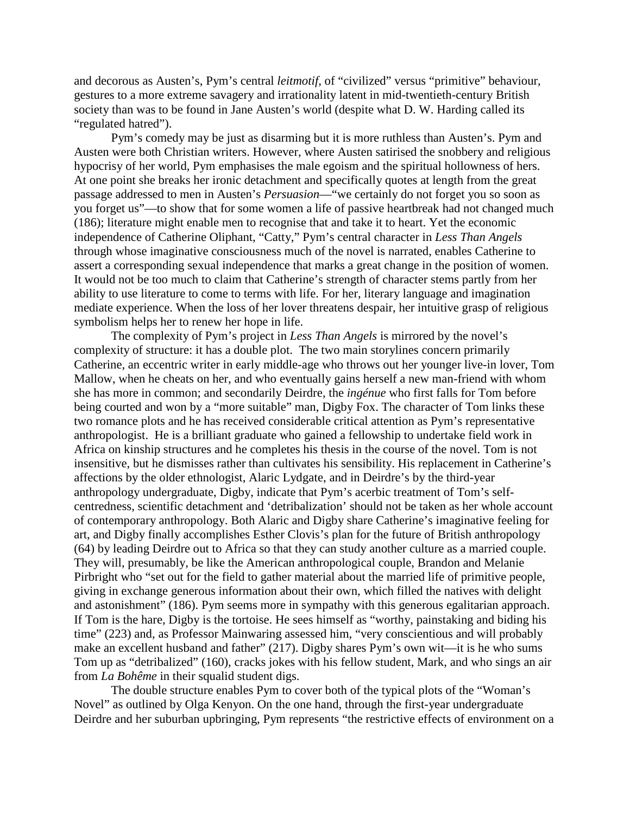and decorous as Austen's, Pym's central *leitmotif,* of "civilized" versus "primitive" behaviour, gestures to a more extreme savagery and irrationality latent in mid-twentieth-century British society than was to be found in Jane Austen's world (despite what D. W. Harding called its "regulated hatred").

Pym's comedy may be just as disarming but it is more ruthless than Austen's. Pym and Austen were both Christian writers. However, where Austen satirised the snobbery and religious hypocrisy of her world, Pym emphasises the male egoism and the spiritual hollowness of hers. At one point she breaks her ironic detachment and specifically quotes at length from the great passage addressed to men in Austen's *Persuasion*—"we certainly do not forget you so soon as you forget us"—to show that for some women a life of passive heartbreak had not changed much (186); literature might enable men to recognise that and take it to heart. Yet the economic independence of Catherine Oliphant, "Catty," Pym's central character in *Less Than Angels* through whose imaginative consciousness much of the novel is narrated, enables Catherine to assert a corresponding sexual independence that marks a great change in the position of women. It would not be too much to claim that Catherine's strength of character stems partly from her ability to use literature to come to terms with life. For her, literary language and imagination mediate experience. When the loss of her lover threatens despair, her intuitive grasp of religious symbolism helps her to renew her hope in life.

The complexity of Pym's project in *Less Than Angels* is mirrored by the novel's complexity of structure: it has a double plot. The two main storylines concern primarily Catherine, an eccentric writer in early middle-age who throws out her younger live-in lover, Tom Mallow, when he cheats on her, and who eventually gains herself a new man-friend with whom she has more in common; and secondarily Deirdre, the *ingénue* who first falls for Tom before being courted and won by a "more suitable" man, Digby Fox. The character of Tom links these two romance plots and he has received considerable critical attention as Pym's representative anthropologist. He is a brilliant graduate who gained a fellowship to undertake field work in Africa on kinship structures and he completes his thesis in the course of the novel. Tom is not insensitive, but he dismisses rather than cultivates his sensibility. His replacement in Catherine's affections by the older ethnologist, Alaric Lydgate, and in Deirdre's by the third-year anthropology undergraduate, Digby, indicate that Pym's acerbic treatment of Tom's selfcentredness, scientific detachment and 'detribalization' should not be taken as her whole account of contemporary anthropology. Both Alaric and Digby share Catherine's imaginative feeling for art, and Digby finally accomplishes Esther Clovis's plan for the future of British anthropology (64) by leading Deirdre out to Africa so that they can study another culture as a married couple. They will, presumably, be like the American anthropological couple, Brandon and Melanie Pirbright who "set out for the field to gather material about the married life of primitive people, giving in exchange generous information about their own, which filled the natives with delight and astonishment" (186). Pym seems more in sympathy with this generous egalitarian approach. If Tom is the hare, Digby is the tortoise. He sees himself as "worthy, painstaking and biding his time" (223) and, as Professor Mainwaring assessed him, "very conscientious and will probably make an excellent husband and father" (217). Digby shares Pym's own wit—it is he who sums Tom up as "detribalized" (160), cracks jokes with his fellow student, Mark, and who sings an air from *La Bohême* in their squalid student digs.

The double structure enables Pym to cover both of the typical plots of the "Woman's Novel" as outlined by Olga Kenyon. On the one hand, through the first-year undergraduate Deirdre and her suburban upbringing, Pym represents "the restrictive effects of environment on a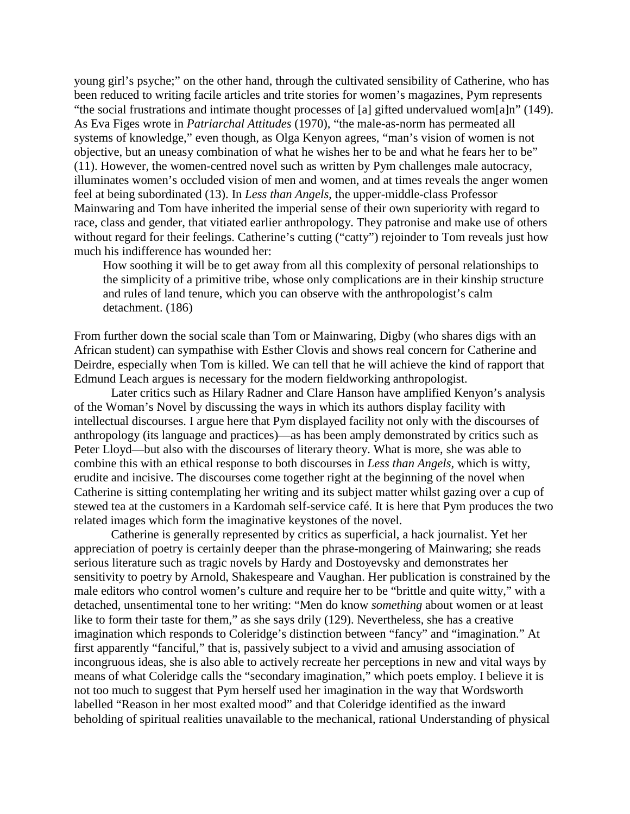young girl's psyche;" on the other hand, through the cultivated sensibility of Catherine, who has been reduced to writing facile articles and trite stories for women's magazines, Pym represents "the social frustrations and intimate thought processes of [a] gifted undervalued wom[a]n" (149). As Eva Figes wrote in *Patriarchal Attitudes* (1970), "the male-as-norm has permeated all systems of knowledge," even though, as Olga Kenyon agrees, "man's vision of women is not objective, but an uneasy combination of what he wishes her to be and what he fears her to be" (11). However, the women-centred novel such as written by Pym challenges male autocracy, illuminates women's occluded vision of men and women, and at times reveals the anger women feel at being subordinated (13). In *Less than Angels*, the upper-middle-class Professor Mainwaring and Tom have inherited the imperial sense of their own superiority with regard to race, class and gender, that vitiated earlier anthropology. They patronise and make use of others without regard for their feelings. Catherine's cutting ("catty") rejoinder to Tom reveals just how much his indifference has wounded her:

How soothing it will be to get away from all this complexity of personal relationships to the simplicity of a primitive tribe, whose only complications are in their kinship structure and rules of land tenure, which you can observe with the anthropologist's calm detachment. (186)

From further down the social scale than Tom or Mainwaring, Digby (who shares digs with an African student) can sympathise with Esther Clovis and shows real concern for Catherine and Deirdre, especially when Tom is killed. We can tell that he will achieve the kind of rapport that Edmund Leach argues is necessary for the modern fieldworking anthropologist.

Later critics such as Hilary Radner and Clare Hanson have amplified Kenyon's analysis of the Woman's Novel by discussing the ways in which its authors display facility with intellectual discourses. I argue here that Pym displayed facility not only with the discourses of anthropology (its language and practices)—as has been amply demonstrated by critics such as Peter Lloyd—but also with the discourses of literary theory. What is more, she was able to combine this with an ethical response to both discourses in *Less than Angels,* which is witty, erudite and incisive. The discourses come together right at the beginning of the novel when Catherine is sitting contemplating her writing and its subject matter whilst gazing over a cup of stewed tea at the customers in a Kardomah self-service café. It is here that Pym produces the two related images which form the imaginative keystones of the novel.

Catherine is generally represented by critics as superficial, a hack journalist. Yet her appreciation of poetry is certainly deeper than the phrase-mongering of Mainwaring; she reads serious literature such as tragic novels by Hardy and Dostoyevsky and demonstrates her sensitivity to poetry by Arnold, Shakespeare and Vaughan. Her publication is constrained by the male editors who control women's culture and require her to be "brittle and quite witty," with a detached, unsentimental tone to her writing: "Men do know *something* about women or at least like to form their taste for them," as she says drily (129). Nevertheless, she has a creative imagination which responds to Coleridge's distinction between "fancy" and "imagination." At first apparently "fanciful," that is, passively subject to a vivid and amusing association of incongruous ideas, she is also able to actively recreate her perceptions in new and vital ways by means of what Coleridge calls the "secondary imagination," which poets employ. I believe it is not too much to suggest that Pym herself used her imagination in the way that Wordsworth labelled "Reason in her most exalted mood" and that Coleridge identified as the inward beholding of spiritual realities unavailable to the mechanical, rational Understanding of physical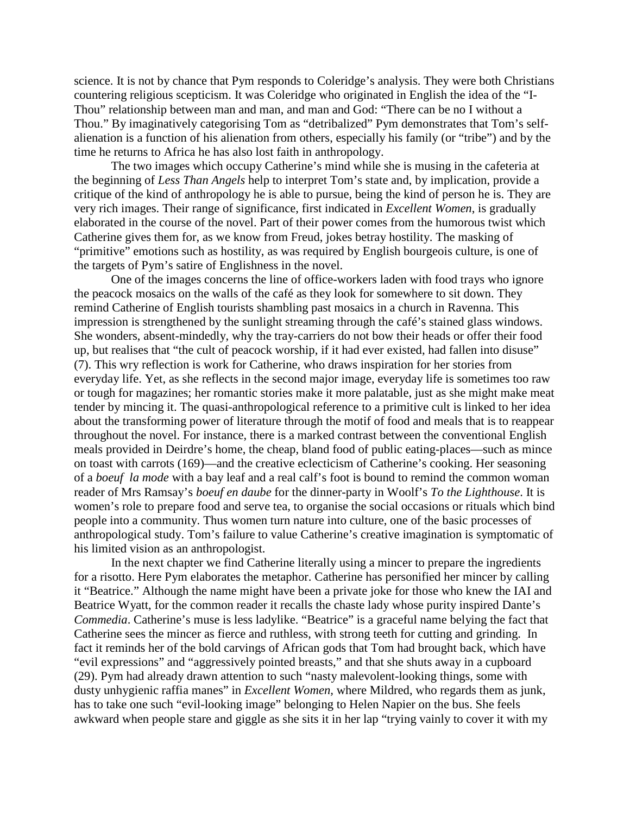science. It is not by chance that Pym responds to Coleridge's analysis. They were both Christians countering religious scepticism. It was Coleridge who originated in English the idea of the "I-Thou" relationship between man and man, and man and God: "There can be no I without a Thou." By imaginatively categorising Tom as "detribalized" Pym demonstrates that Tom's selfalienation is a function of his alienation from others, especially his family (or "tribe") and by the time he returns to Africa he has also lost faith in anthropology.

The two images which occupy Catherine's mind while she is musing in the cafeteria at the beginning of *Less Than Angels* help to interpret Tom's state and, by implication, provide a critique of the kind of anthropology he is able to pursue, being the kind of person he is. They are very rich images. Their range of significance, first indicated in *Excellent Women*, is gradually elaborated in the course of the novel. Part of their power comes from the humorous twist which Catherine gives them for, as we know from Freud, jokes betray hostility. The masking of "primitive" emotions such as hostility, as was required by English bourgeois culture, is one of the targets of Pym's satire of Englishness in the novel.

One of the images concerns the line of office-workers laden with food trays who ignore the peacock mosaics on the walls of the café as they look for somewhere to sit down. They remind Catherine of English tourists shambling past mosaics in a church in Ravenna. This impression is strengthened by the sunlight streaming through the café's stained glass windows. She wonders, absent-mindedly, why the tray-carriers do not bow their heads or offer their food up, but realises that "the cult of peacock worship, if it had ever existed, had fallen into disuse" (7). This wry reflection is work for Catherine, who draws inspiration for her stories from everyday life. Yet, as she reflects in the second major image, everyday life is sometimes too raw or tough for magazines; her romantic stories make it more palatable, just as she might make meat tender by mincing it. The quasi-anthropological reference to a primitive cult is linked to her idea about the transforming power of literature through the motif of food and meals that is to reappear throughout the novel. For instance, there is a marked contrast between the conventional English meals provided in Deirdre's home, the cheap, bland food of public eating-places—such as mince on toast with carrots (169)—and the creative eclecticism of Catherine's cooking. Her seasoning of a *boeuf la mode* with a bay leaf and a real calf's foot is bound to remind the common woman reader of Mrs Ramsay's *boeuf en daube* for the dinner-party in Woolf's *To the Lighthouse*. It is women's role to prepare food and serve tea, to organise the social occasions or rituals which bind people into a community. Thus women turn nature into culture, one of the basic processes of anthropological study. Tom's failure to value Catherine's creative imagination is symptomatic of his limited vision as an anthropologist.

In the next chapter we find Catherine literally using a mincer to prepare the ingredients for a risotto. Here Pym elaborates the metaphor. Catherine has personified her mincer by calling it "Beatrice." Although the name might have been a private joke for those who knew the IAI and Beatrice Wyatt, for the common reader it recalls the chaste lady whose purity inspired Dante's *Commedia*. Catherine's muse is less ladylike. "Beatrice" is a graceful name belying the fact that Catherine sees the mincer as fierce and ruthless, with strong teeth for cutting and grinding. In fact it reminds her of the bold carvings of African gods that Tom had brought back, which have "evil expressions" and "aggressively pointed breasts," and that she shuts away in a cupboard (29). Pym had already drawn attention to such "nasty malevolent-looking things, some with dusty unhygienic raffia manes" in *Excellent Women*, where Mildred, who regards them as junk, has to take one such "evil-looking image" belonging to Helen Napier on the bus. She feels awkward when people stare and giggle as she sits it in her lap "trying vainly to cover it with my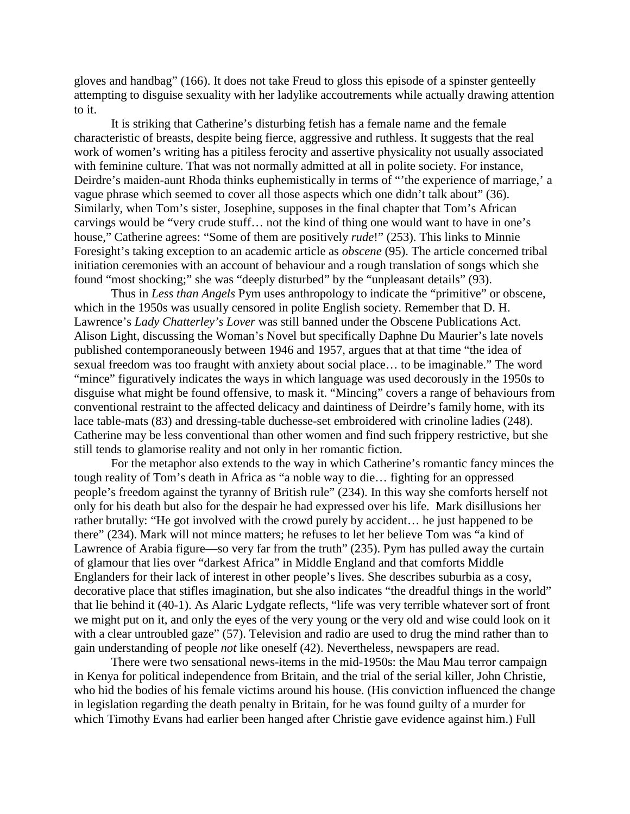gloves and handbag" (166). It does not take Freud to gloss this episode of a spinster genteelly attempting to disguise sexuality with her ladylike accoutrements while actually drawing attention to it.

It is striking that Catherine's disturbing fetish has a female name and the female characteristic of breasts, despite being fierce, aggressive and ruthless. It suggests that the real work of women's writing has a pitiless ferocity and assertive physicality not usually associated with feminine culture. That was not normally admitted at all in polite society. For instance, Deirdre's maiden-aunt Rhoda thinks euphemistically in terms of "'the experience of marriage,' a vague phrase which seemed to cover all those aspects which one didn't talk about" (36). Similarly, when Tom's sister, Josephine, supposes in the final chapter that Tom's African carvings would be "very crude stuff… not the kind of thing one would want to have in one's house," Catherine agrees: "Some of them are positively *rude*!" (253). This links to Minnie Foresight's taking exception to an academic article as *obscene* (95). The article concerned tribal initiation ceremonies with an account of behaviour and a rough translation of songs which she found "most shocking;" she was "deeply disturbed" by the "unpleasant details" (93).

Thus in *Less than Angels* Pym uses anthropology to indicate the "primitive" or obscene, which in the 1950s was usually censored in polite English society. Remember that D. H. Lawrence's *Lady Chatterley's Lover* was still banned under the Obscene Publications Act. Alison Light, discussing the Woman's Novel but specifically Daphne Du Maurier's late novels published contemporaneously between 1946 and 1957, argues that at that time "the idea of sexual freedom was too fraught with anxiety about social place… to be imaginable." The word "mince" figuratively indicates the ways in which language was used decorously in the 1950s to disguise what might be found offensive, to mask it. "Mincing" covers a range of behaviours from conventional restraint to the affected delicacy and daintiness of Deirdre's family home, with its lace table-mats (83) and dressing-table duchesse-set embroidered with crinoline ladies (248). Catherine may be less conventional than other women and find such frippery restrictive, but she still tends to glamorise reality and not only in her romantic fiction.

For the metaphor also extends to the way in which Catherine's romantic fancy minces the tough reality of Tom's death in Africa as "a noble way to die… fighting for an oppressed people's freedom against the tyranny of British rule" (234). In this way she comforts herself not only for his death but also for the despair he had expressed over his life. Mark disillusions her rather brutally: "He got involved with the crowd purely by accident… he just happened to be there" (234). Mark will not mince matters; he refuses to let her believe Tom was "a kind of Lawrence of Arabia figure—so very far from the truth" (235). Pym has pulled away the curtain of glamour that lies over "darkest Africa" in Middle England and that comforts Middle Englanders for their lack of interest in other people's lives. She describes suburbia as a cosy, decorative place that stifles imagination, but she also indicates "the dreadful things in the world" that lie behind it (40-1). As Alaric Lydgate reflects, "life was very terrible whatever sort of front we might put on it, and only the eyes of the very young or the very old and wise could look on it with a clear untroubled gaze" (57). Television and radio are used to drug the mind rather than to gain understanding of people *not* like oneself (42). Nevertheless, newspapers are read.

There were two sensational news-items in the mid-1950s: the Mau Mau terror campaign in Kenya for political independence from Britain, and the trial of the serial killer, John Christie, who hid the bodies of his female victims around his house. (His conviction influenced the change in legislation regarding the death penalty in Britain, for he was found guilty of a murder for which Timothy Evans had earlier been hanged after Christie gave evidence against him.) Full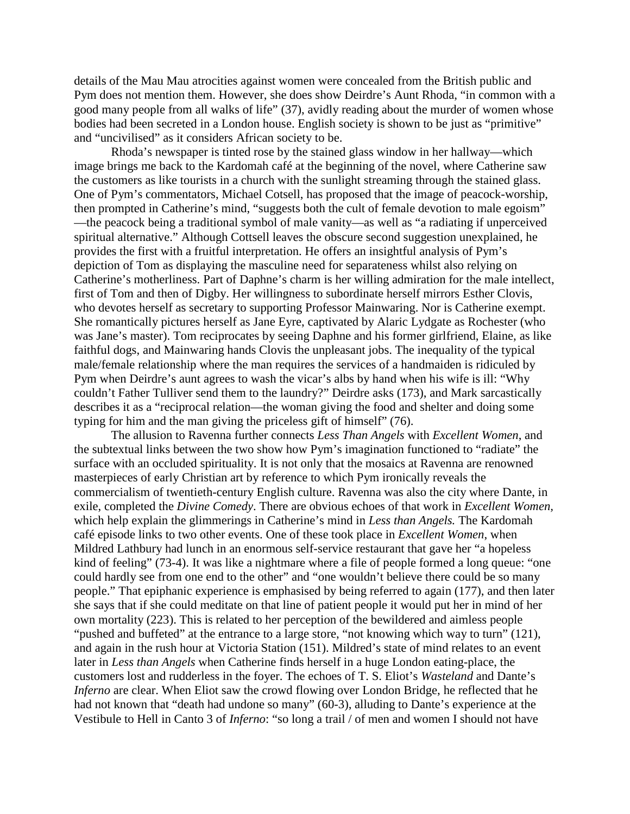details of the Mau Mau atrocities against women were concealed from the British public and Pym does not mention them. However, she does show Deirdre's Aunt Rhoda, "in common with a good many people from all walks of life" (37), avidly reading about the murder of women whose bodies had been secreted in a London house. English society is shown to be just as "primitive" and "uncivilised" as it considers African society to be.

Rhoda's newspaper is tinted rose by the stained glass window in her hallway—which image brings me back to the Kardomah café at the beginning of the novel, where Catherine saw the customers as like tourists in a church with the sunlight streaming through the stained glass. One of Pym's commentators, Michael Cotsell, has proposed that the image of peacock-worship, then prompted in Catherine's mind, "suggests both the cult of female devotion to male egoism" —the peacock being a traditional symbol of male vanity—as well as "a radiating if unperceived spiritual alternative." Although Cottsell leaves the obscure second suggestion unexplained, he provides the first with a fruitful interpretation. He offers an insightful analysis of Pym's depiction of Tom as displaying the masculine need for separateness whilst also relying on Catherine's motherliness. Part of Daphne's charm is her willing admiration for the male intellect, first of Tom and then of Digby. Her willingness to subordinate herself mirrors Esther Clovis, who devotes herself as secretary to supporting Professor Mainwaring. Nor is Catherine exempt. She romantically pictures herself as Jane Eyre, captivated by Alaric Lydgate as Rochester (who was Jane's master). Tom reciprocates by seeing Daphne and his former girlfriend, Elaine, as like faithful dogs, and Mainwaring hands Clovis the unpleasant jobs. The inequality of the typical male/female relationship where the man requires the services of a handmaiden is ridiculed by Pym when Deirdre's aunt agrees to wash the vicar's albs by hand when his wife is ill: "Why couldn't Father Tulliver send them to the laundry?" Deirdre asks (173), and Mark sarcastically describes it as a "reciprocal relation—the woman giving the food and shelter and doing some typing for him and the man giving the priceless gift of himself" (76).

The allusion to Ravenna further connects *Less Than Angels* with *Excellent Women*, and the subtextual links between the two show how Pym's imagination functioned to "radiate" the surface with an occluded spirituality. It is not only that the mosaics at Ravenna are renowned masterpieces of early Christian art by reference to which Pym ironically reveals the commercialism of twentieth-century English culture. Ravenna was also the city where Dante, in exile, completed the *Divine Comedy*. There are obvious echoes of that work in *Excellent Women,* which help explain the glimmerings in Catherine's mind in *Less than Angels.* The Kardomah café episode links to two other events. One of these took place in *Excellent Women*, when Mildred Lathbury had lunch in an enormous self-service restaurant that gave her "a hopeless kind of feeling" (73-4). It was like a nightmare where a file of people formed a long queue: "one could hardly see from one end to the other" and "one wouldn't believe there could be so many people." That epiphanic experience is emphasised by being referred to again (177), and then later she says that if she could meditate on that line of patient people it would put her in mind of her own mortality (223). This is related to her perception of the bewildered and aimless people "pushed and buffeted" at the entrance to a large store, "not knowing which way to turn" (121), and again in the rush hour at Victoria Station (151). Mildred's state of mind relates to an event later in *Less than Angels* when Catherine finds herself in a huge London eating-place, the customers lost and rudderless in the foyer. The echoes of T. S. Eliot's *Wasteland* and Dante's *Inferno* are clear. When Eliot saw the crowd flowing over London Bridge, he reflected that he had not known that "death had undone so many" (60-3), alluding to Dante's experience at the Vestibule to Hell in Canto 3 of *Inferno*: "so long a trail / of men and women I should not have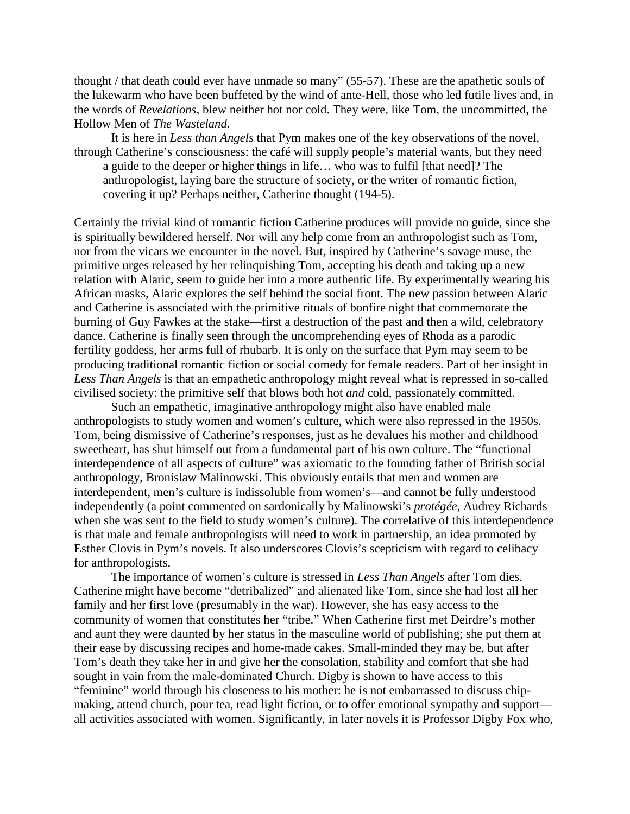thought / that death could ever have unmade so many" (55-57). These are the apathetic souls of the lukewarm who have been buffeted by the wind of ante-Hell, those who led futile lives and, in the words of *Revelations,* blew neither hot nor cold. They were, like Tom, the uncommitted, the Hollow Men of *The Wasteland*.

It is here in *Less than Angels* that Pym makes one of the key observations of the novel, through Catherine's consciousness: the café will supply people's material wants, but they need a guide to the deeper or higher things in life… who was to fulfil [that need]? The anthropologist, laying bare the structure of society, or the writer of romantic fiction, covering it up? Perhaps neither, Catherine thought (194-5).

Certainly the trivial kind of romantic fiction Catherine produces will provide no guide, since she is spiritually bewildered herself. Nor will any help come from an anthropologist such as Tom, nor from the vicars we encounter in the novel. But, inspired by Catherine's savage muse, the primitive urges released by her relinquishing Tom, accepting his death and taking up a new relation with Alaric, seem to guide her into a more authentic life. By experimentally wearing his African masks, Alaric explores the self behind the social front. The new passion between Alaric and Catherine is associated with the primitive rituals of bonfire night that commemorate the burning of Guy Fawkes at the stake—first a destruction of the past and then a wild, celebratory dance. Catherine is finally seen through the uncomprehending eyes of Rhoda as a parodic fertility goddess, her arms full of rhubarb. It is only on the surface that Pym may seem to be producing traditional romantic fiction or social comedy for female readers. Part of her insight in *Less Than Angels* is that an empathetic anthropology might reveal what is repressed in so-called civilised society: the primitive self that blows both hot *and* cold, passionately committed.

Such an empathetic, imaginative anthropology might also have enabled male anthropologists to study women and women's culture, which were also repressed in the 1950s. Tom, being dismissive of Catherine's responses, just as he devalues his mother and childhood sweetheart, has shut himself out from a fundamental part of his own culture. The "functional interdependence of all aspects of culture" was axiomatic to the founding father of British social anthropology, Bronislaw Malinowski. This obviously entails that men and women are interdependent, men's culture is indissoluble from women's—and cannot be fully understood independently (a point commented on sardonically by Malinowski's *protégée*, Audrey Richards when she was sent to the field to study women's culture). The correlative of this interdependence is that male and female anthropologists will need to work in partnership, an idea promoted by Esther Clovis in Pym's novels. It also underscores Clovis's scepticism with regard to celibacy for anthropologists.

The importance of women's culture is stressed in *Less Than Angels* after Tom dies. Catherine might have become "detribalized" and alienated like Tom, since she had lost all her family and her first love (presumably in the war). However, she has easy access to the community of women that constitutes her "tribe." When Catherine first met Deirdre's mother and aunt they were daunted by her status in the masculine world of publishing; she put them at their ease by discussing recipes and home-made cakes. Small-minded they may be, but after Tom's death they take her in and give her the consolation, stability and comfort that she had sought in vain from the male-dominated Church. Digby is shown to have access to this "feminine" world through his closeness to his mother: he is not embarrassed to discuss chipmaking, attend church, pour tea, read light fiction, or to offer emotional sympathy and support all activities associated with women. Significantly, in later novels it is Professor Digby Fox who,